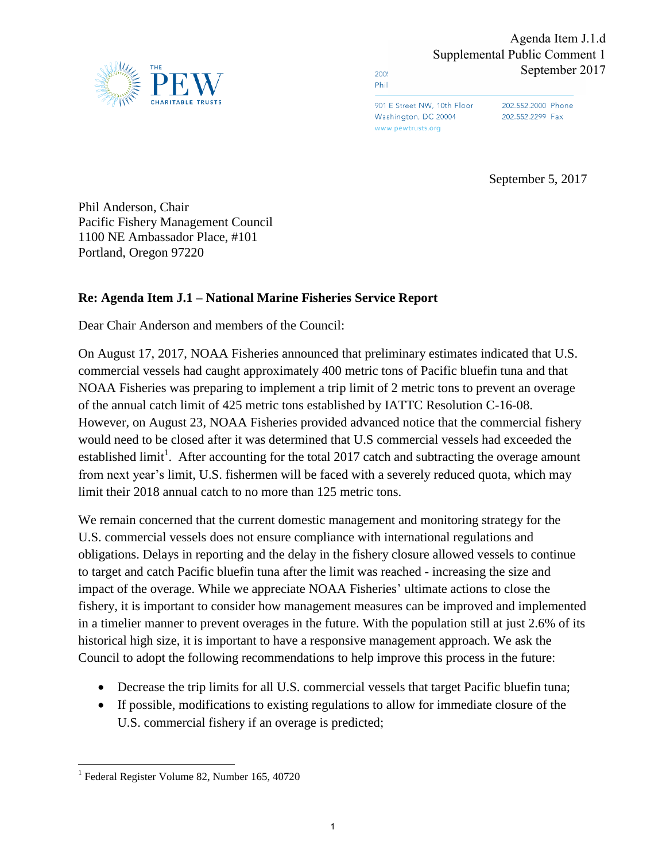

2005 Phil

> 901 E Street NW, 10th Floor Washington, DC 20004 www.pewtrusts.org

202.552.2000 Phone 202.552.2299 Fax

September 5, 2017

Phil Anderson, Chair Pacific Fishery Management Council 1100 NE Ambassador Place, #101 Portland, Oregon 97220

## **Re: Agenda Item J.1 – National Marine Fisheries Service Report**

Dear Chair Anderson and members of the Council:

On August 17, 2017, NOAA Fisheries announced that preliminary estimates indicated that U.S. commercial vessels had caught approximately 400 metric tons of Pacific bluefin tuna and that NOAA Fisheries was preparing to implement a trip limit of 2 metric tons to prevent an overage of the annual catch limit of 425 metric tons established by IATTC Resolution C-16-08. However, on August 23, NOAA Fisheries provided advanced notice that the commercial fishery would need to be closed after it was determined that U.S commercial vessels had exceeded the established limit<sup>1</sup>. After accounting for the total 2017 catch and subtracting the overage amount from next year's limit, U.S. fishermen will be faced with a severely reduced quota, which may limit their 2018 annual catch to no more than 125 metric tons.

We remain concerned that the current domestic management and monitoring strategy for the U.S. commercial vessels does not ensure compliance with international regulations and obligations. Delays in reporting and the delay in the fishery closure allowed vessels to continue to target and catch Pacific bluefin tuna after the limit was reached - increasing the size and impact of the overage. While we appreciate NOAA Fisheries' ultimate actions to close the fishery, it is important to consider how management measures can be improved and implemented in a timelier manner to prevent overages in the future. With the population still at just 2.6% of its historical high size, it is important to have a responsive management approach. We ask the Council to adopt the following recommendations to help improve this process in the future:

- Decrease the trip limits for all U.S. commercial vessels that target Pacific bluefin tuna;
- If possible, modifications to existing regulations to allow for immediate closure of the U.S. commercial fishery if an overage is predicted;

<sup>&</sup>lt;sup>1</sup> Federal Register Volume 82, Number 165, 40720